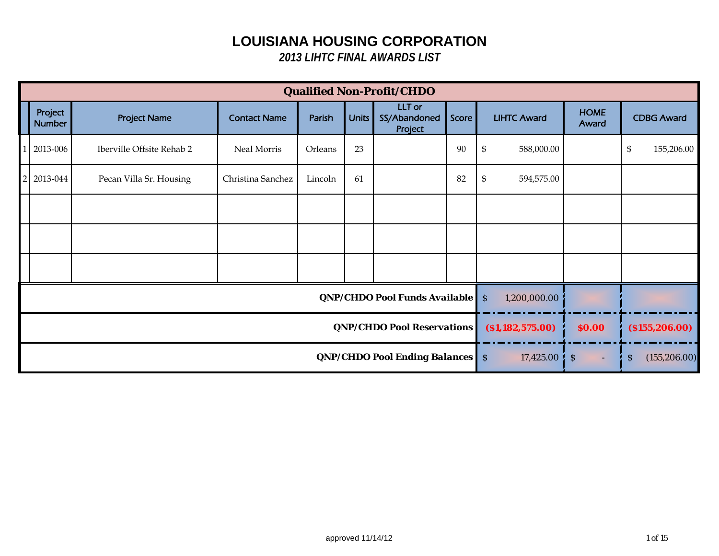|                |                          |                               |                                        |                         |                          | <b>Qualified Non-Profit/CHDO</b>           |       |                                          |                      |                   |
|----------------|--------------------------|-------------------------------|----------------------------------------|-------------------------|--------------------------|--------------------------------------------|-------|------------------------------------------|----------------------|-------------------|
|                | Project<br><b>Number</b> | <b>Project Name</b>           | <b>Contact Name</b>                    | Parish                  | Units                    | <b>LLT</b> or<br>SS/Abandoned<br>Project   | Score | <b>LIHTC Award</b>                       | <b>HOME</b><br>Award | <b>CDBG Award</b> |
| $\overline{1}$ | 2013-006                 | Iberville Offsite Rehab 2     | Neal Morris                            | Orleans                 | 23                       |                                            | 90    | $\boldsymbol{\mathsf{\$}}$<br>588,000.00 |                      | \$<br>155,206.00  |
| <sup>2</sup>   | 2013-044                 | Pecan Villa Sr. Housing       | Christina Sanchez                      | Lincoln                 | 61                       |                                            | 82    | $\boldsymbol{\mathsf{S}}$<br>594,575.00  |                      |                   |
|                |                          |                               |                                        |                         |                          |                                            |       |                                          |                      |                   |
|                |                          |                               |                                        |                         |                          |                                            |       |                                          |                      |                   |
|                |                          |                               |                                        |                         |                          |                                            |       |                                          |                      |                   |
|                |                          | QNP/CHDO Pool Funds Available |                                        |                         |                          |                                            |       |                                          |                      |                   |
|                |                          |                               | <b>QNP/CHDO Pool Reservations</b>      | ( \$1,182,575.00)       | \$0.00                   | ( \$155, 206.00)                           |       |                                          |                      |                   |
|                |                          |                               | <b>QNP/CHDO Pool Ending Balances</b> S | $17,425.00 \, \text{S}$ | $\overline{\phantom{a}}$ | $\boldsymbol{\mathsf{S}}$<br>(155, 206.00) |       |                                          |                      |                   |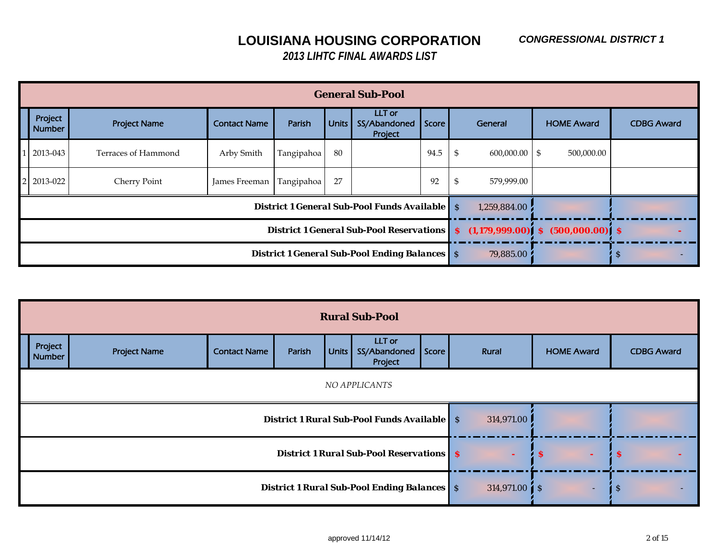|                          |                     |                     |                                                              |                                      | <b>General Sub-Pool</b>                              |              |                  |                    |                   |
|--------------------------|---------------------|---------------------|--------------------------------------------------------------|--------------------------------------|------------------------------------------------------|--------------|------------------|--------------------|-------------------|
| Project<br><b>Number</b> | <b>Project Name</b> | <b>Contact Name</b> | Parish                                                       | Units                                | LLT or<br>SS/Abandoned<br>Project                    | Score        | General          | <b>HOME Award</b>  | <b>CDBG Award</b> |
| 2013-043                 | Terraces of Hammond | Arby Smith          | Tangipahoa                                                   | 80                                   |                                                      | 94.5         | \$<br>600,000.00 | 500,000.00<br>- \$ |                   |
| 2013-022                 | Cherry Point        | James Freeman       | Tangipahoa                                                   | 27                                   |                                                      | 92           | \$<br>579,999.00 |                    |                   |
|                          |                     |                     |                                                              |                                      | <b>District 1 General Sub-Pool Funds Available</b> S |              | 1,259,884.00     |                    |                   |
|                          |                     |                     | District 1 General Sub-Pool Reservations   \$ (1,179,999.00) | $(500,000.00)$ $\mid$ \$<br><b>S</b> |                                                      |              |                  |                    |                   |
|                          |                     |                     | <b>District 1 General Sub-Pool Ending Balances</b> S         | 79,885.00                            |                                                      | <sup>S</sup> |                  |                    |                   |

|                          |                     |                     |                                                    |                            | <b>Rural Sub-Pool</b>                           |              |        |                     |                   |
|--------------------------|---------------------|---------------------|----------------------------------------------------|----------------------------|-------------------------------------------------|--------------|--------|---------------------|-------------------|
| Project<br><b>Number</b> | <b>Project Name</b> | <b>Contact Name</b> | Parish                                             | Units                      | LLT or<br>SS/Abandoned<br>Project               | Score        | Rural  | <b>HOME Award</b>   | <b>CDBG Award</b> |
|                          |                     |                     |                                                    |                            |                                                 |              |        |                     |                   |
|                          |                     |                     | <b>District 1 Rural Sub-Pool Funds Available</b> S | 314,971.00                 |                                                 |              |        |                     |                   |
|                          |                     |                     |                                                    |                            | <b>District 1 Rural Sub-Pool Reservations</b> S |              | $\sim$ | $\cdot$ s<br>$\sim$ | i s               |
|                          |                     |                     | <b>District 1 Rural Sub-Pool Ending Balances</b> S | $314,971.00$ $\uparrow$ \$ | $\sim$                                          | <sub>S</sub> |        |                     |                   |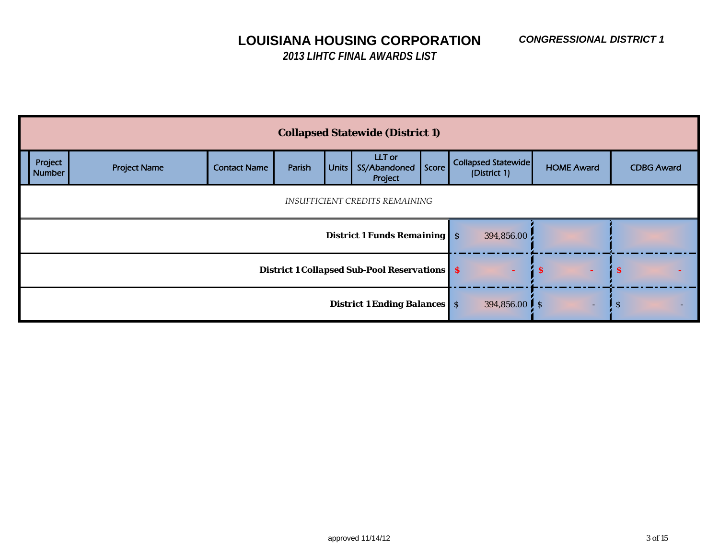|                          |                     |                     |                                     | <b>Collapsed Statewide (District 1)</b>             |                          |                                            |                   |                   |
|--------------------------|---------------------|---------------------|-------------------------------------|-----------------------------------------------------|--------------------------|--------------------------------------------|-------------------|-------------------|
| Project<br><b>Number</b> | <b>Project Name</b> | <b>Contact Name</b> | Parish                              | LLT or<br>Units SS/Abandoned<br>Project             | Score                    | <b>Collapsed Statewide</b><br>(District 1) | <b>HOME Award</b> | <b>CDBG Award</b> |
|                          |                     |                     |                                     | INSUFFICIENT CREDITS REMAINING                      |                          |                                            |                   |                   |
|                          |                     |                     | <b>District 1 Funds Remaining S</b> | 394,856.00                                          |                          |                                            |                   |                   |
|                          |                     |                     |                                     | <b>District 1 Collapsed Sub-Pool Reservations S</b> |                          | ÷                                          | $\mathbf{s}$      | <b>S</b>          |
|                          |                     |                     | <b>District 1 Ending Balances</b> S | 394,856.00 $\frac{1}{5}$ \$                         | $\overline{\phantom{a}}$ | $\boldsymbol{\mathsf{S}}$                  |                   |                   |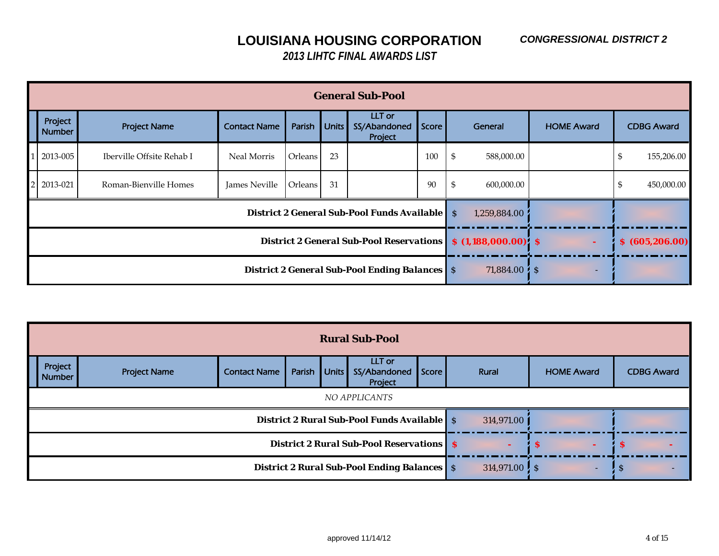|                |                          |                           |                     |                                                      |                       | <b>General Sub-Pool</b>                     |                 |                              |                   |                   |
|----------------|--------------------------|---------------------------|---------------------|------------------------------------------------------|-----------------------|---------------------------------------------|-----------------|------------------------------|-------------------|-------------------|
|                | Project<br><b>Number</b> | <b>Project Name</b>       | <b>Contact Name</b> | Parish                                               | <b>Units</b>          | LLT or<br>SS/Abandoned<br>Project           | Score           | General                      | <b>HOME Award</b> | <b>CDBG Award</b> |
|                | 2013-005                 | Iberville Offsite Rehab I | Neal Morris         | Orleans                                              | 23                    |                                             | 100             | 588,000.00<br>S              |                   | 155,206.00<br>\$  |
| $\overline{2}$ | 2013-021                 | Roman-Bienville Homes     | James Neville       | Orleans                                              | 31                    |                                             | 90              | 600,000.00                   |                   | 450,000.00<br>\$  |
|                |                          |                           |                     |                                                      |                       | District 2 General Sub-Pool Funds Available |                 | <sub>S</sub><br>1,259,884.00 |                   |                   |
|                |                          |                           |                     | <b>District 2 General Sub-Pool Reservations</b>      | $$(1,188,000.00)$ $$$ |                                             | \$ (605,206.00) |                              |                   |                   |
|                |                          |                           |                     | <b>District 2 General Sub-Pool Ending Balances</b> S |                       | $71,884.00\,$ S                             |                 |                              |                   |                   |

|                          |                     |                                                    |                                                   | <b>Rural Sub-Pool</b>                              |                   |                   |  |  |
|--------------------------|---------------------|----------------------------------------------------|---------------------------------------------------|----------------------------------------------------|-------------------|-------------------|--|--|
| Project<br><b>Number</b> | <b>Project Name</b> | <b>Contact Name</b>                                | Score                                             | Rural                                              | <b>HOME Award</b> | <b>CDBG Award</b> |  |  |
|                          |                     |                                                    |                                                   |                                                    |                   |                   |  |  |
|                          |                     |                                                    |                                                   | <b>District 2 Rural Sub-Pool Funds Available</b> S |                   | 314,971.00        |  |  |
|                          |                     |                                                    | <b>District 2 Rural Sub-Pool Reservations   S</b> |                                                    | -S                | $\triangle$ S     |  |  |
|                          |                     | <b>District 2 Rural Sub-Pool Ending Balances</b> S |                                                   | $314,971.00$ S                                     |                   | ιs                |  |  |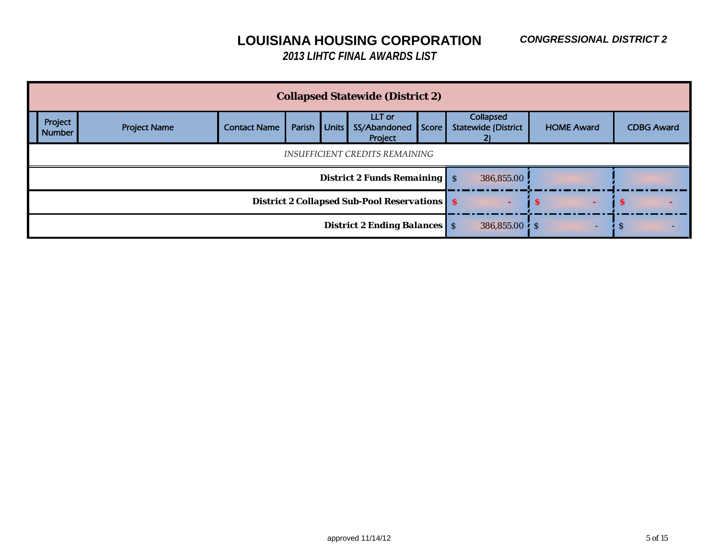#### *CONGRESSIONAL DISTRICT 2*

## **LOUISIANA HOUSING CORPORATION**

|                          |                     |                                                     |                                     |                         | <b>Collapsed Statewide (District 2)</b> |       |                                         |                   |                   |
|--------------------------|---------------------|-----------------------------------------------------|-------------------------------------|-------------------------|-----------------------------------------|-------|-----------------------------------------|-------------------|-------------------|
| Project<br><b>Number</b> | <b>Project Name</b> | <b>Contact Name</b>                                 | Parish                              | <b>Units</b>            | LLT or<br>SS/Abandoned<br>Project       | Score | Collapsed<br><b>Statewide (District</b> | <b>HOME Award</b> | <b>CDBG Award</b> |
|                          |                     | INSUFFICIENT CREDITS REMAINING                      |                                     |                         |                                         |       |                                         |                   |                   |
|                          |                     |                                                     |                                     |                         | <b>District 2 Funds Remaining S</b>     |       | 386,855.00                              |                   |                   |
|                          |                     | <b>District 2 Collapsed Sub-Pool Reservations S</b> |                                     | -S                      | -S                                      |       |                                         |                   |                   |
|                          |                     |                                                     | <b>District 2 Ending Balances</b> S | $386,855.00$ $\sqrt{S}$ | ۰                                       | Ð     |                                         |                   |                   |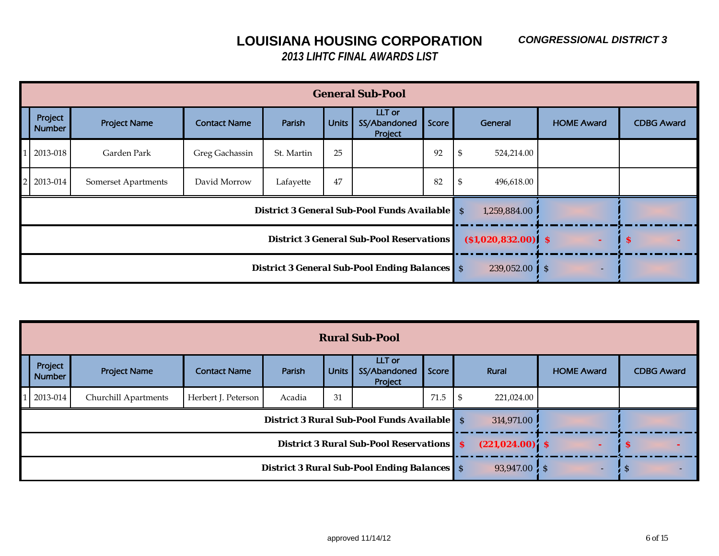|                          |                     |                     |                                                      |                       | <b>General Sub-Pool</b>                                |          |                  |                   |                   |
|--------------------------|---------------------|---------------------|------------------------------------------------------|-----------------------|--------------------------------------------------------|----------|------------------|-------------------|-------------------|
| Project<br><b>Number</b> | <b>Project Name</b> | <b>Contact Name</b> | Parish                                               | <b>Units</b>          | LLT or<br>SS/Abandoned<br>Project                      | Score    | General          | <b>HOME Award</b> | <b>CDBG Award</b> |
| 2013-018                 | Garden Park         | Greg Gachassin      | St. Martin                                           | 25                    |                                                        | 92       | 524,214.00<br>J  |                   |                   |
| 2013-014                 | Somerset Apartments | David Morrow        | Lafayette                                            | 47                    |                                                        | 82       | 496,618.00<br>-5 |                   |                   |
|                          |                     |                     |                                                      |                       | <b>District 3 General Sub-Pool Funds Available   S</b> |          | 1,259,884.00     |                   |                   |
|                          |                     |                     | <b>District 3 General Sub-Pool Reservations</b>      | $( $1,020,832.00)$ \$ |                                                        | <b>S</b> |                  |                   |                   |
|                          |                     |                     | <b>District 3 General Sub-Pool Ending Balances</b> S | 239,052.00            | l s<br>۰                                               |          |                  |                   |                   |

|                          |                      |                                                 |        |                                                    | <b>Rural Sub-Pool</b>                              |          |                    |            |                   |                   |  |
|--------------------------|----------------------|-------------------------------------------------|--------|----------------------------------------------------|----------------------------------------------------|----------|--------------------|------------|-------------------|-------------------|--|
| Project<br><b>Number</b> | <b>Project Name</b>  | <b>Contact Name</b>                             | Parish | <b>Units</b>                                       | LLT or<br>SS/Abandoned<br>Project                  | Score    |                    | Rural      | <b>HOME Award</b> | <b>CDBG Award</b> |  |
| 2013-014                 | Churchill Apartments | Herbert J. Peterson                             | Acadia | 31                                                 |                                                    | 71.5     | - \$               | 221,024.00 |                   |                   |  |
|                          |                      |                                                 |        |                                                    | <b>District 3 Rural Sub-Pool Funds Available</b> S |          |                    | 314,971.00 |                   |                   |  |
|                          |                      | <b>District 3 Rural Sub-Pool Reservations S</b> |        | $(221, 024.00)$ \$                                 |                                                    | <b>S</b> |                    |            |                   |                   |  |
|                          |                      |                                                 |        | <b>District 3 Rural Sub-Pool Ending Balances</b> S |                                                    |          | $93,947.00 \div S$ | ۰          | -S                |                   |  |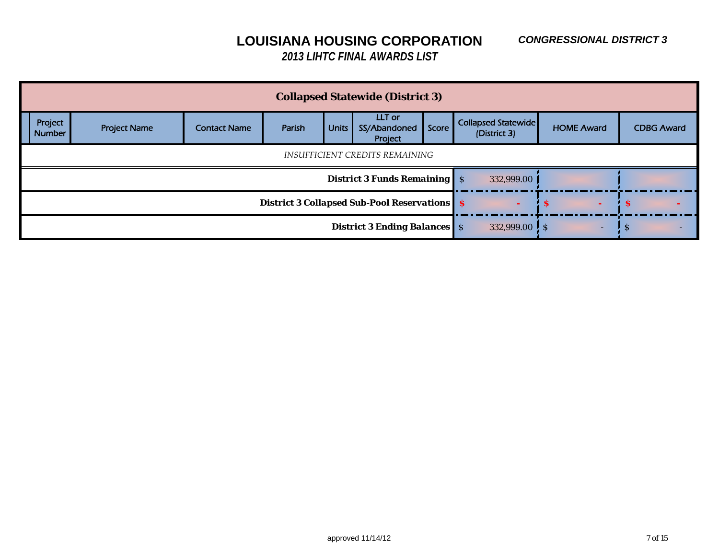|                          |                     |                     |                                                     |                             | <b>Collapsed Statewide (District 3)</b> |       |                                     |                   |                   |
|--------------------------|---------------------|---------------------|-----------------------------------------------------|-----------------------------|-----------------------------------------|-------|-------------------------------------|-------------------|-------------------|
| Project<br><b>Number</b> | <b>Project Name</b> | <b>Contact Name</b> | Parish                                              | <b>Units</b>                | LLT or<br>SS/Abandoned<br>Project       | Score | Collapsed Statewide<br>(District 3) | <b>HOME Award</b> | <b>CDBG Award</b> |
|                          |                     |                     |                                                     |                             |                                         |       |                                     |                   |                   |
|                          |                     |                     |                                                     |                             | <b>District 3 Funds Remaining S</b>     |       | 332,999.00                          |                   |                   |
|                          |                     |                     | <b>District 3 Collapsed Sub-Pool Reservations S</b> | <b>S</b>                    | -S                                      |       |                                     |                   |                   |
|                          |                     |                     | <b>District 3 Ending Balances</b> S                 | 332,999.00 $\frac{1}{5}$ \$ | -                                       | -5    |                                     |                   |                   |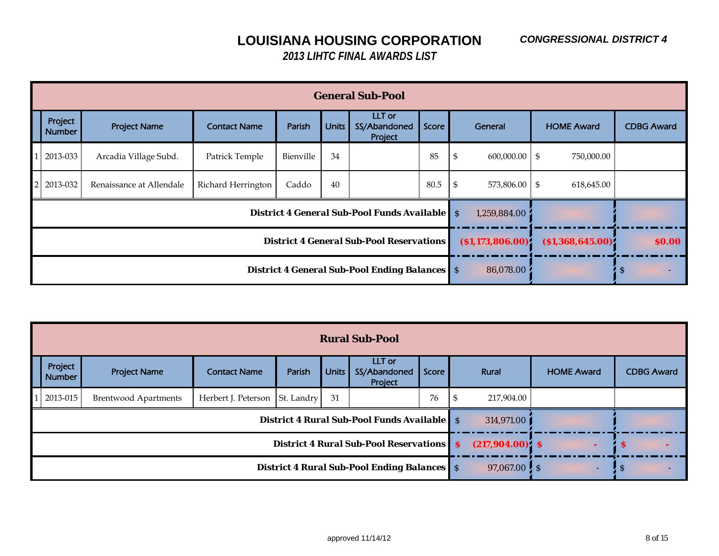|                          |                          |                                                 |                                                      |                   | <b>General Sub-Pool</b>                              |                           |                       |                   |  |                   |
|--------------------------|--------------------------|-------------------------------------------------|------------------------------------------------------|-------------------|------------------------------------------------------|---------------------------|-----------------------|-------------------|--|-------------------|
| Project<br><b>Number</b> | <b>Project Name</b>      | <b>Contact Name</b>                             | Parish                                               | <b>Units</b>      | LLT or<br>SS/Abandoned<br>Project                    | Score                     | General               | <b>HOME Award</b> |  | <b>CDBG Award</b> |
| 2013-033                 | Arcadia Village Subd.    | Patrick Temple                                  | Bienville                                            | 34                |                                                      | 85                        | \$<br>$600,000.00$ \$ | 750,000.00        |  |                   |
| 2013-032                 | Renaissance at Allendale | Richard Herrington                              | Caddo                                                | 40                |                                                      | 80.5                      | \$<br>573,806.00 \$   | 618,645.00        |  |                   |
|                          |                          |                                                 |                                                      |                   | <b>District 4 General Sub-Pool Funds Available</b> S |                           | 1,259,884.00          |                   |  |                   |
|                          |                          | <b>District 4 General Sub-Pool Reservations</b> | ( \$1,173,806.00)                                    | ( \$1,368,645.00) |                                                      | \$0.00                    |                       |                   |  |                   |
|                          |                          |                                                 | <b>District 4 General Sub-Pool Ending Balances</b> S | 86,078.00         |                                                      | $\boldsymbol{\mathsf{S}}$ |                       |                   |  |                   |

|                          |                             |                                |                                                 |                                                    | <b>Rural Sub-Pool</b>                              |               |            |                   |                   |
|--------------------------|-----------------------------|--------------------------------|-------------------------------------------------|----------------------------------------------------|----------------------------------------------------|---------------|------------|-------------------|-------------------|
| Project<br><b>Number</b> | <b>Project Name</b>         | <b>Contact Name</b>            | Parish                                          | <b>Units</b>                                       | LLT or<br>SS/Abandoned<br>Project                  | Score         | Rural      | <b>HOME Award</b> | <b>CDBG Award</b> |
| 2013-015                 | <b>Brentwood Apartments</b> | Herbert J. Peterson St. Landry |                                                 | 31                                                 |                                                    | 76            | 217,904.00 |                   |                   |
|                          |                             |                                |                                                 |                                                    | <b>District 4 Rural Sub-Pool Funds Available</b> S |               | 314,971.00 |                   |                   |
|                          |                             |                                | <b>District 4 Rural Sub-Pool Reservations S</b> | $(217,904.00)$ \$                                  |                                                    | -S            |            |                   |                   |
|                          |                             |                                |                                                 | <b>District 4 Rural Sub-Pool Ending Balances</b> S |                                                    | $97,067.00$ S | ۰.         | -S                |                   |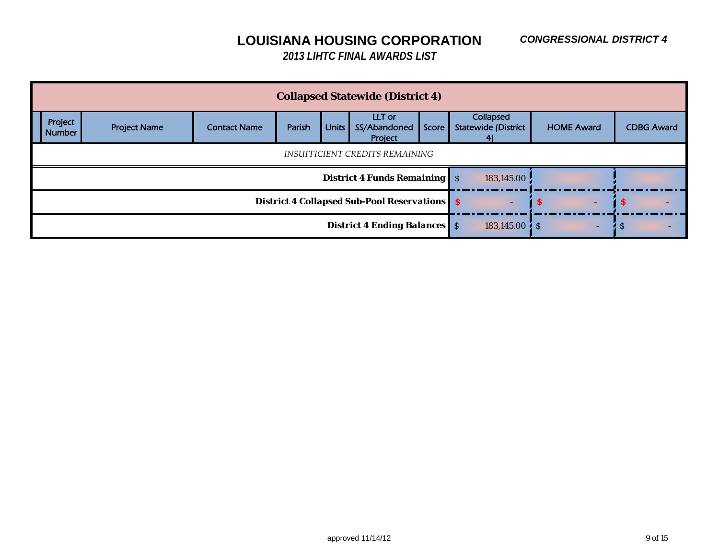|                          | <b>Collapsed Statewide (District 4)</b>                |                     |        |              |                                     |       |                                               |  |                   |          |                   |  |  |
|--------------------------|--------------------------------------------------------|---------------------|--------|--------------|-------------------------------------|-------|-----------------------------------------------|--|-------------------|----------|-------------------|--|--|
| Project<br><b>Number</b> | <b>Project Name</b>                                    | <b>Contact Name</b> | Parish | <b>Units</b> | LLT or<br>SS/Abandoned<br>Project   | Score | Collapsed<br><b>Statewide (District</b><br>41 |  | <b>HOME Award</b> |          | <b>CDBG Award</b> |  |  |
|                          | INSUFFICIENT CREDITS REMAINING                         |                     |        |              |                                     |       |                                               |  |                   |          |                   |  |  |
|                          |                                                        |                     |        |              | <b>District 4 Funds Remaining S</b> |       | 183,145.00                                    |  |                   |          |                   |  |  |
|                          | <b>District 4 Collapsed Sub-Pool Reservations   \$</b> |                     |        |              |                                     |       |                                               |  |                   | <b>S</b> |                   |  |  |
|                          | <b>District 4 Ending Balances</b> S                    |                     |        |              |                                     |       |                                               |  |                   | -S       |                   |  |  |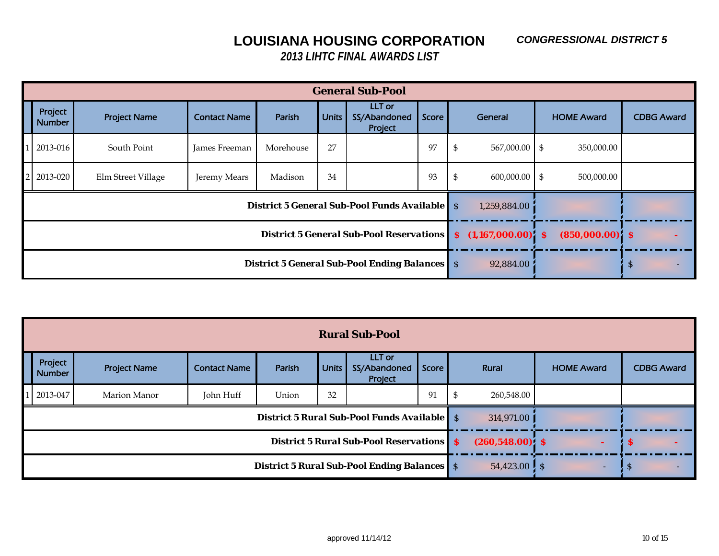#### *CONGRESSIONAL DISTRICT 5*

## **LOUISIANA HOUSING CORPORATION**

| <b>General Sub-Pool</b>  |                     |                     |                                                                      |              |                                   |       |                        |  |                   |                   |  |  |
|--------------------------|---------------------|---------------------|----------------------------------------------------------------------|--------------|-----------------------------------|-------|------------------------|--|-------------------|-------------------|--|--|
| Project<br><b>Number</b> | <b>Project Name</b> | <b>Contact Name</b> | Parish                                                               | <b>Units</b> | LLT or<br>SS/Abandoned<br>Project | Score | General                |  | <b>HOME Award</b> | <b>CDBG Award</b> |  |  |
| 2013-016                 | South Point         | James Freeman       | Morehouse                                                            | 27           |                                   | 97    | $567,000.00$ \$<br>-\$ |  | 350,000.00        |                   |  |  |
| 2 2013-020               | Elm Street Village  | Jeremy Mears        | Madison                                                              | 34           |                                   | 93    | \$<br>$600,000.00$ \$  |  | 500,000.00        |                   |  |  |
|                          |                     |                     | <b>District 5 General Sub-Pool Funds Available</b> S<br>1,259,884.00 |              |                                   |       |                        |  |                   |                   |  |  |
|                          |                     |                     | District 5 General Sub-Pool Reservations   \$ (1,167,000.00) \$      |              | $(850,000.00)$ \$                 |       |                        |  |                   |                   |  |  |
|                          |                     |                     | <b>District 5 General Sub-Pool Ending Balances</b> S<br>92,884.00    |              |                                   | S     |                        |  |                   |                   |  |  |

| <b>Rural Sub-Pool</b>                              |                     |                     |                                                                  |              |                                   |       |            |                     |                   |  |  |  |  |
|----------------------------------------------------|---------------------|---------------------|------------------------------------------------------------------|--------------|-----------------------------------|-------|------------|---------------------|-------------------|--|--|--|--|
| Project<br><b>Number</b>                           | <b>Project Name</b> | <b>Contact Name</b> | Parish                                                           | <b>Units</b> | LLT or<br>SS/Abandoned<br>Project | Score | Rural      | <b>HOME Award</b>   | <b>CDBG Award</b> |  |  |  |  |
| 2013-047                                           | Marion Manor        | John Huff           | Union                                                            | 32           |                                   | 91    | 260,548.00 |                     |                   |  |  |  |  |
|                                                    |                     |                     | <b>District 5 Rural Sub-Pool Funds Available</b> S<br>314,971.00 |              |                                   |       |            |                     |                   |  |  |  |  |
| <b>District 5 Rural Sub-Pool Reservations S</b>    |                     |                     |                                                                  |              |                                   |       |            | $(260, 548.00)$ \$  | <b>S</b>          |  |  |  |  |
| <b>District 5 Rural Sub-Pool Ending Balances</b> S |                     |                     |                                                                  |              |                                   |       |            | $54,423.00$ S<br>۰. | -S                |  |  |  |  |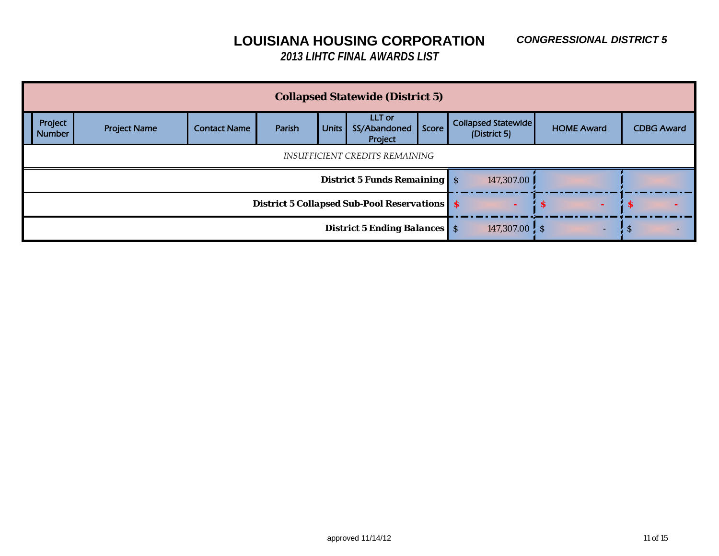|                                | <b>Collapsed Statewide (District 5)</b>             |                     |        |              |                                     |       |                                     |  |                   |   |                   |  |  |
|--------------------------------|-----------------------------------------------------|---------------------|--------|--------------|-------------------------------------|-------|-------------------------------------|--|-------------------|---|-------------------|--|--|
| Project<br><b>Number</b>       | <b>Project Name</b>                                 | <b>Contact Name</b> | Parish | <b>Units</b> | LLT or<br>SS/Abandoned<br>Project   | Score | Collapsed Statewide<br>(District 5) |  | <b>HOME Award</b> |   | <b>CDBG Award</b> |  |  |
| INSUFFICIENT CREDITS REMAINING |                                                     |                     |        |              |                                     |       |                                     |  |                   |   |                   |  |  |
|                                |                                                     |                     |        |              | <b>District 5 Funds Remaining S</b> |       | 147,307.00                          |  |                   |   |                   |  |  |
|                                | <b>District 5 Collapsed Sub-Pool Reservations S</b> |                     |        |              |                                     |       |                                     |  |                   | Ð |                   |  |  |
|                                | <b>District 5 Ending Balances</b> S                 |                     |        |              |                                     |       |                                     |  | ۰                 | Ð |                   |  |  |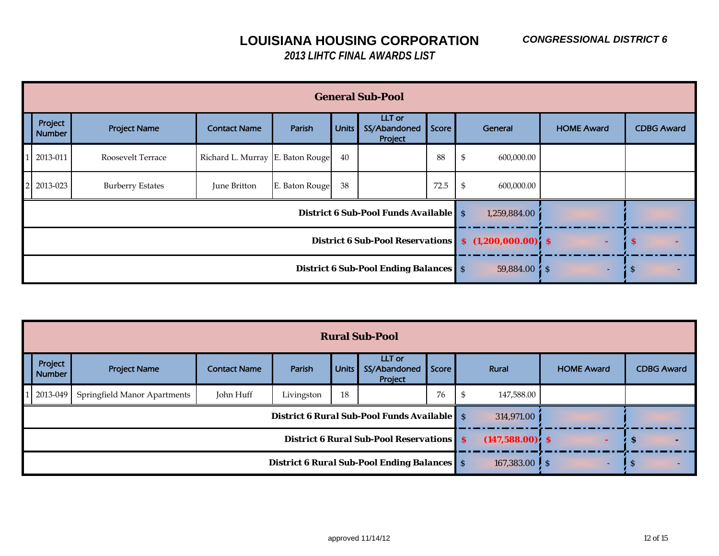| <b>General Sub-Pool</b>                      |                         |                                  |                |              |                                              |       |    |                       |                   |                   |  |  |  |
|----------------------------------------------|-------------------------|----------------------------------|----------------|--------------|----------------------------------------------|-------|----|-----------------------|-------------------|-------------------|--|--|--|
| Project<br><b>Number</b>                     | <b>Project Name</b>     | <b>Contact Name</b>              | Parish         | <b>Units</b> | LLT or<br>SS/Abandoned<br>Project            | Score |    | General               | <b>HOME Award</b> | <b>CDBG Award</b> |  |  |  |
| 2013-011                                     | Roosevelt Terrace       | Richard L. Murray E. Baton Rouge |                | 40           |                                              | 88    | \$ | 600,000.00            |                   |                   |  |  |  |
| 2013-023                                     | <b>Burberry Estates</b> | June Britton                     | E. Baton Rouge | 38           |                                              | 72.5  | \$ | 600,000.00            |                   |                   |  |  |  |
|                                              |                         |                                  |                |              | <b>District 6 Sub-Pool Funds Available</b> S |       |    | 1,259,884.00          |                   |                   |  |  |  |
| <b>District 6 Sub-Pool Reservations</b>      |                         |                                  |                |              |                                              |       |    | $$(1,200,000.00)'$ \$ |                   | -S                |  |  |  |
| <b>District 6 Sub-Pool Ending Balances</b> S |                         |                                  |                |              |                                              |       |    | $59,884.00\%$         | -                 | <sub>S</sub>      |  |  |  |

| <b>Rural Sub-Pool</b>                           |                              |                                                                                   |            |              |                                                    |       |                    |                   |                                |  |  |  |
|-------------------------------------------------|------------------------------|-----------------------------------------------------------------------------------|------------|--------------|----------------------------------------------------|-------|--------------------|-------------------|--------------------------------|--|--|--|
| Project<br><b>Number</b>                        | <b>Project Name</b>          | <b>Contact Name</b>                                                               | Parish     | <b>Units</b> | LLT or<br>SS/Abandoned<br>Project                  | Score | Rural              | <b>HOME Award</b> | <b>CDBG Award</b>              |  |  |  |
| $12013 - 049$                                   | Springfield Manor Apartments | John Huff                                                                         | Livingston | 18           |                                                    | 76    | 147,588.00<br>- \$ |                   |                                |  |  |  |
|                                                 |                              |                                                                                   |            |              | <b>District 6 Rural Sub-Pool Funds Available S</b> |       | 314,971.00         |                   |                                |  |  |  |
| <b>District 6 Rural Sub-Pool Reservations S</b> |                              |                                                                                   |            |              |                                                    |       |                    | $(147,588.00)$ \$ | -S<br>$\overline{\phantom{0}}$ |  |  |  |
|                                                 |                              | <b>District 6 Rural Sub-Pool Ending Balances</b> S<br>167,383.00 $\frac{1}{5}$ \$ | ٠          | -3           |                                                    |       |                    |                   |                                |  |  |  |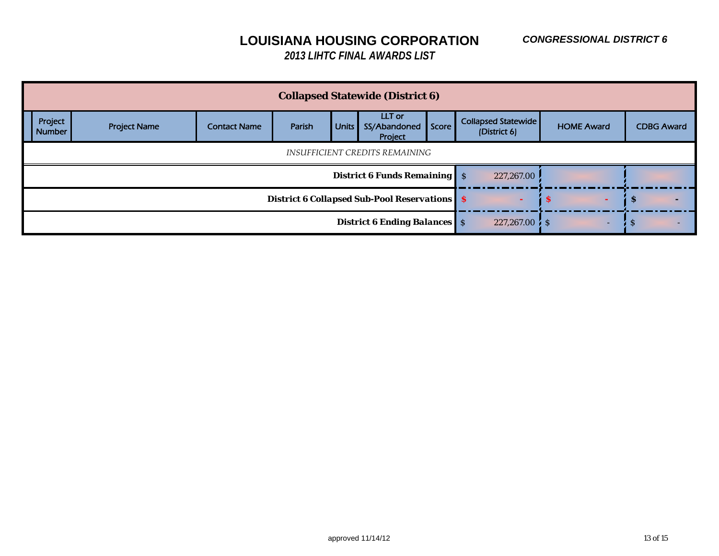|                                                                                                                                                                                                            | <b>Collapsed Statewide (District 6)</b>             |  |  |  |  |                                     |  |            |                     |  |                   |  |  |
|------------------------------------------------------------------------------------------------------------------------------------------------------------------------------------------------------------|-----------------------------------------------------|--|--|--|--|-------------------------------------|--|------------|---------------------|--|-------------------|--|--|
| LLT or<br>Project<br>Collapsed Statewide<br>Score<br><b>Units</b><br>SS/Abandoned<br><b>HOME Award</b><br>Parish<br><b>Project Name</b><br><b>Contact Name</b><br>(District 6)<br><b>Number</b><br>Project |                                                     |  |  |  |  |                                     |  |            |                     |  | <b>CDBG Award</b> |  |  |
|                                                                                                                                                                                                            | INSUFFICIENT CREDITS REMAINING                      |  |  |  |  |                                     |  |            |                     |  |                   |  |  |
|                                                                                                                                                                                                            |                                                     |  |  |  |  | <b>District 6 Funds Remaining S</b> |  | 227,267.00 |                     |  |                   |  |  |
|                                                                                                                                                                                                            | <b>District 6 Collapsed Sub-Pool Reservations S</b> |  |  |  |  |                                     |  |            | w                   |  | -8                |  |  |
|                                                                                                                                                                                                            | <b>District 6 Ending Balances</b> S                 |  |  |  |  |                                     |  |            | $227,267.00 \div S$ |  |                   |  |  |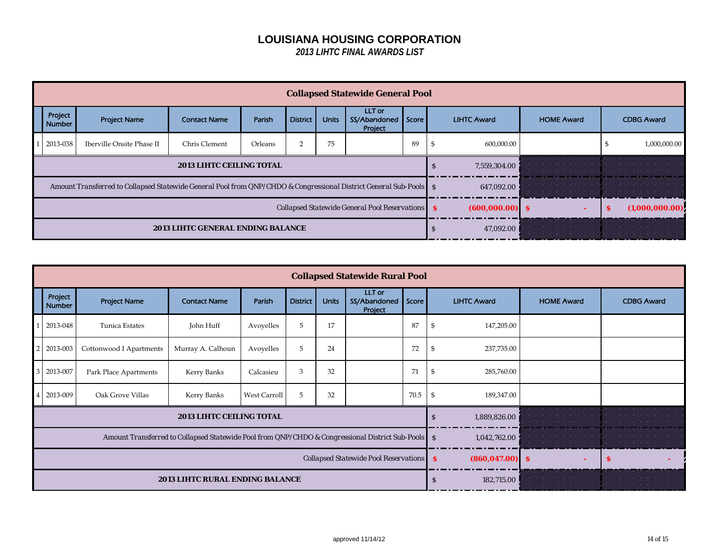| Project<br><b>Number</b> | <b>Project Name</b>                                                                                               | <b>Contact Name</b>                             | Parish            | <b>District</b> | <b>Units</b> | LLT or<br>SS/Abandoned<br>Project | Score |  | <b>LIHTC Award</b> | <b>HOME Award</b> |   | <b>CDBG Award</b> |
|--------------------------|-------------------------------------------------------------------------------------------------------------------|-------------------------------------------------|-------------------|-----------------|--------------|-----------------------------------|-------|--|--------------------|-------------------|---|-------------------|
| 2013-038                 | Iberville Onsite Phase II                                                                                         | Chris Clement                                   | Orleans           |                 | 75           |                                   | 89    |  | 600,000.00         |                   | Æ | 1,000,000.00      |
|                          |                                                                                                                   | S                                               | 7,559,304.00      | 8<br>8<br>B     |              | B<br>8                            |       |  |                    |                   |   |                   |
|                          | Amount Transferred to Collapsed Statewide General Pool from QNP/CHDO & Congressional District General Sub-Pools S |                                                 |                   |                 |              |                                   |       |  | 647,092.00         | Ø.<br>w.<br>e.    |   | Ø<br>8            |
|                          |                                                                                                                   | Collapsed Statewide General Pool Reservations S | $(600,000.00)$ \$ |                 | s            | (1,000,000.00)                    |       |  |                    |                   |   |                   |
|                          | 2013 LIHTC GENERAL ENDING BALANCE                                                                                 |                                                 | 47,092.00         | 8<br>B.         |              |                                   |       |  |                    |                   |   |                   |

|                          |                         |                                                                                                   |                                            | <b>Collapsed Statewide Rural Pool</b> |              |                                   |       |              |                    |                   |                   |
|--------------------------|-------------------------|---------------------------------------------------------------------------------------------------|--------------------------------------------|---------------------------------------|--------------|-----------------------------------|-------|--------------|--------------------|-------------------|-------------------|
| Project<br><b>Number</b> | <b>Project Name</b>     | <b>Contact Name</b>                                                                               | Parish                                     | <b>District</b>                       | <b>Units</b> | LLT or<br>SS/Abandoned<br>Project | Score |              | <b>LIHTC Award</b> | <b>HOME Award</b> | <b>CDBG Award</b> |
| 2013-048                 | Tunica Estates          | John Huff                                                                                         | Avoyelles                                  | 5                                     | 17           |                                   | 87    |              | 147,205.00         |                   |                   |
| 2013-003                 | Cottonwood I Apartments | Murray A. Calhoun                                                                                 | Avoyelles                                  | 5                                     | 24           |                                   | 72    |              | 237,735.00         |                   |                   |
| 2013-007                 | Park Place Apartments   | Kerry Banks                                                                                       | Calcasieu                                  | 3                                     | 32           |                                   | 71    | -56          | 285,760.00         |                   |                   |
| 2013-009                 | Oak Grove Villas        | Kerry Banks                                                                                       | West Carroll                               | 5                                     | 32           |                                   | 70.5  |              | 189,347.00         |                   |                   |
|                          |                         | 2013 LIHTC CEILING TOTAL                                                                          |                                            |                                       |              |                                   |       | $\mathbf{s}$ | 1,889,826.00       |                   |                   |
|                          |                         | Amount Transferred to Collapsed Statewide Pool from QNP/CHDO & Congressional District Sub-Pools S |                                            | 1,042,762.00                          |              | Ŵ                                 |       |              |                    |                   |                   |
|                          |                         |                                                                                                   | Collapsed Statewide Pool Reservations   \$ | $(860, 047.00)$ \$                    |              | s.                                |       |              |                    |                   |                   |
|                          |                         | <b>2013 LIHTC RURAL ENDING BALANCE</b>                                                            | <sub>S</sub>                               | 182,715.00                            |              |                                   |       |              |                    |                   |                   |